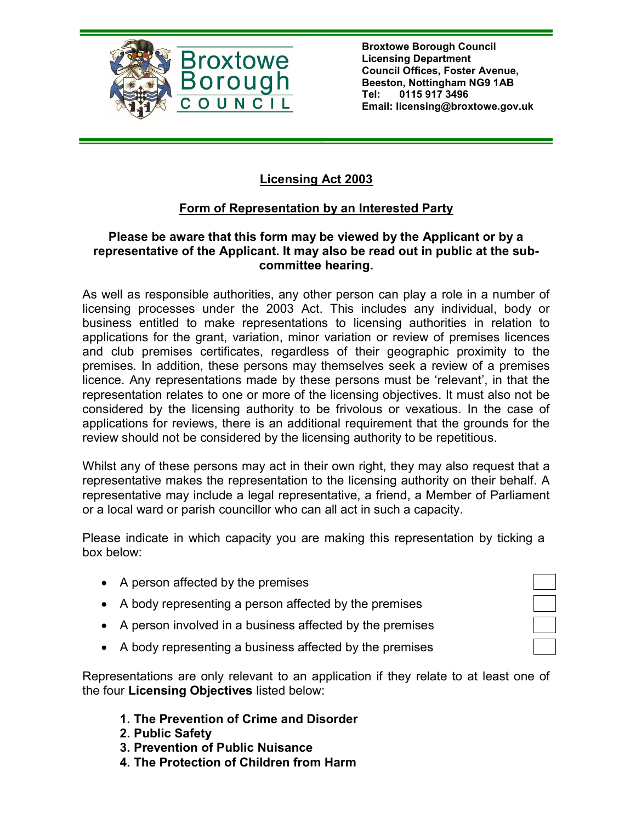

Broxtowe Borough Council Licensing Department Council Offices, Foster Avenue, Beeston, Nottingham NG9 1AB Tel: 0115 917 3496 Email: licensing@broxtowe.gov.uk

## Licensing Act 2003

## Form of Representation by an Interested Party

## Please be aware that this form may be viewed by the Applicant or by a representative of the Applicant. It may also be read out in public at the subcommittee hearing.

As well as responsible authorities, any other person can play a role in a number of licensing processes under the 2003 Act. This includes any individual, body or business entitled to make representations to licensing authorities in relation to applications for the grant, variation, minor variation or review of premises licences and club premises certificates, regardless of their geographic proximity to the premises. In addition, these persons may themselves seek a review of a premises licence. Any representations made by these persons must be 'relevant', in that the representation relates to one or more of the licensing objectives. It must also not be considered by the licensing authority to be frivolous or vexatious. In the case of applications for reviews, there is an additional requirement that the grounds for the review should not be considered by the licensing authority to be repetitious.

Whilst any of these persons may act in their own right, they may also request that a representative makes the representation to the licensing authority on their behalf. A representative may include a legal representative, a friend, a Member of Parliament or a local ward or parish councillor who can all act in such a capacity.

Please indicate in which capacity you are making this representation by ticking a box below:

- A person affected by the premises
- A body representing a person affected by the premises
- A person involved in a business affected by the premises
- A body representing a business affected by the premises

Representations are only relevant to an application if they relate to at least one of the four Licensing Objectives listed below:

- 1. The Prevention of Crime and Disorder
- 2. Public Safety
- 3. Prevention of Public Nuisance
- 4. The Protection of Children from Harm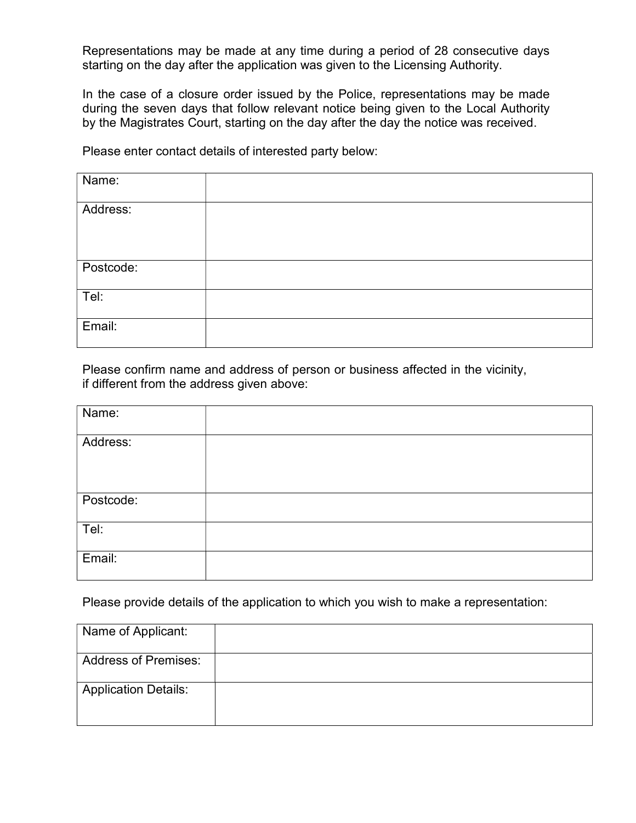Representations may be made at any time during a period of 28 consecutive days starting on the day after the application was given to the Licensing Authority.

In the case of a closure order issued by the Police, representations may be made during the seven days that follow relevant notice being given to the Local Authority by the Magistrates Court, starting on the day after the day the notice was received.

Please enter contact details of interested party below:

| Name:     |  |
|-----------|--|
|           |  |
| Address:  |  |
|           |  |
|           |  |
|           |  |
|           |  |
|           |  |
| Postcode: |  |
|           |  |
|           |  |
| Tel:      |  |
|           |  |
|           |  |
|           |  |
| Email:    |  |
|           |  |
|           |  |

Please confirm name and address of person or business affected in the vicinity, if different from the address given above:

| Name:     |  |
|-----------|--|
| Address:  |  |
|           |  |
| Postcode: |  |
| Tel:      |  |
| Email:    |  |

Please provide details of the application to which you wish to make a representation:

| Name of Applicant:          |  |
|-----------------------------|--|
| <b>Address of Premises:</b> |  |
| <b>Application Details:</b> |  |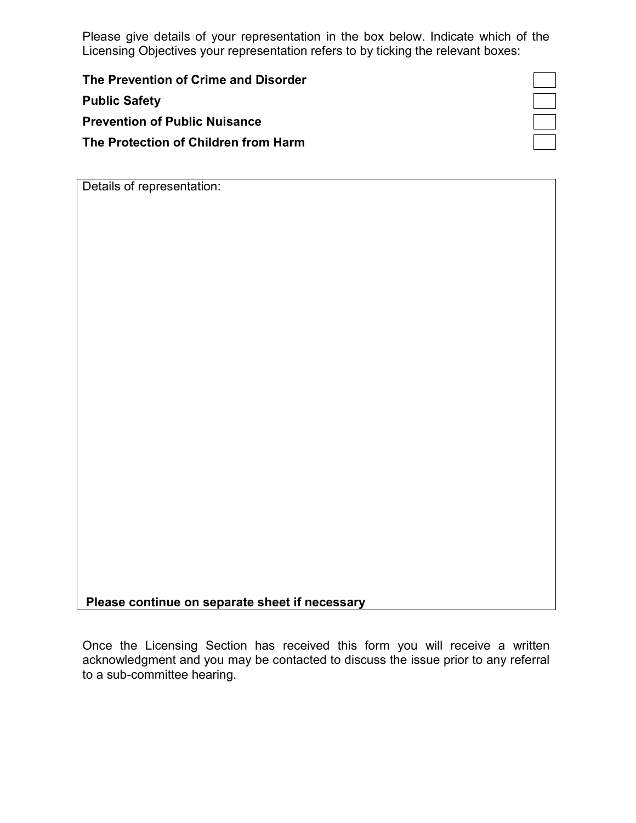Please give details of your representation in the box below. Indicate which of the Licensing Objectives your representation refers to by ticking the relevant boxes:

The Prevention of Crime and Disorder Public Safety Prevention of Public Nuisance The Protection of Children from Harm

 $\Box$ ┑

Details of representation:

Please continue on separate sheet if necessary

Once the Licensing Section has received this form you will receive a written acknowledgment and you may be contacted to discuss the issue prior to any referral to a sub-committee hearing.